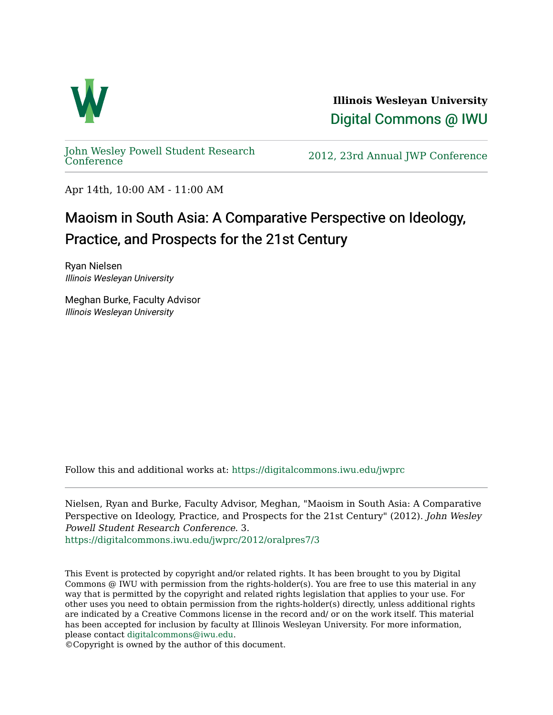

**Illinois Wesleyan University**  [Digital Commons @ IWU](https://digitalcommons.iwu.edu/) 

[John Wesley Powell Student Research](https://digitalcommons.iwu.edu/jwprc) 

2012, 23rd Annual JWP [Conference](https://digitalcommons.iwu.edu/jwprc)

Apr 14th, 10:00 AM - 11:00 AM

## Maoism in South Asia: A Comparative Perspective on Ideology, Practice, and Prospects for the 21st Century

Ryan Nielsen Illinois Wesleyan University

Meghan Burke, Faculty Advisor Illinois Wesleyan University

Follow this and additional works at: [https://digitalcommons.iwu.edu/jwprc](https://digitalcommons.iwu.edu/jwprc?utm_source=digitalcommons.iwu.edu%2Fjwprc%2F2012%2Foralpres7%2F3&utm_medium=PDF&utm_campaign=PDFCoverPages) 

Nielsen, Ryan and Burke, Faculty Advisor, Meghan, "Maoism in South Asia: A Comparative Perspective on Ideology, Practice, and Prospects for the 21st Century" (2012). John Wesley Powell Student Research Conference. 3. [https://digitalcommons.iwu.edu/jwprc/2012/oralpres7/3](https://digitalcommons.iwu.edu/jwprc/2012/oralpres7/3?utm_source=digitalcommons.iwu.edu%2Fjwprc%2F2012%2Foralpres7%2F3&utm_medium=PDF&utm_campaign=PDFCoverPages)

This Event is protected by copyright and/or related rights. It has been brought to you by Digital Commons @ IWU with permission from the rights-holder(s). You are free to use this material in any way that is permitted by the copyright and related rights legislation that applies to your use. For other uses you need to obtain permission from the rights-holder(s) directly, unless additional rights are indicated by a Creative Commons license in the record and/ or on the work itself. This material has been accepted for inclusion by faculty at Illinois Wesleyan University. For more information, please contact [digitalcommons@iwu.edu.](mailto:digitalcommons@iwu.edu)

©Copyright is owned by the author of this document.